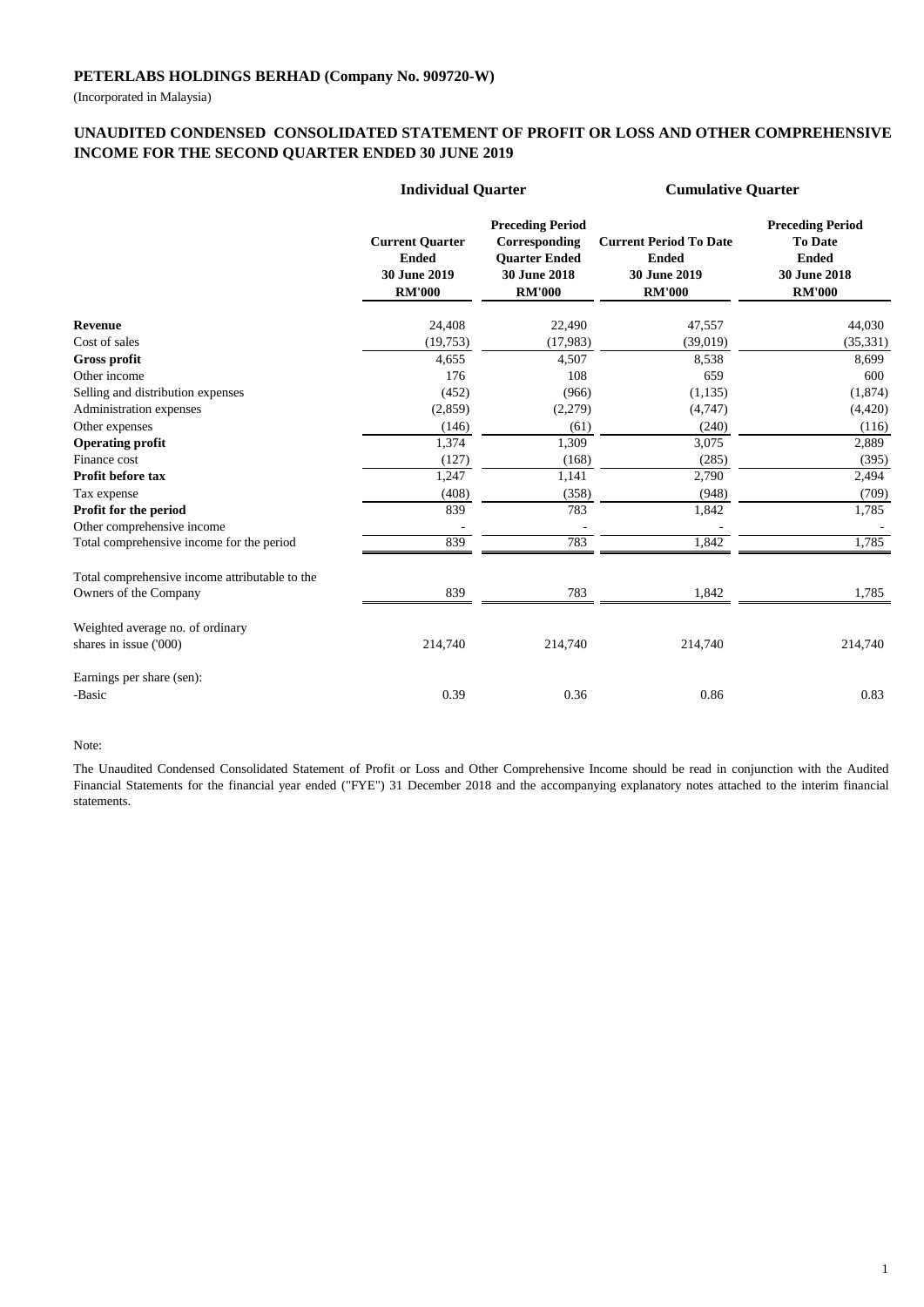(Incorporated in Malaysia)

## **UNAUDITED CONDENSED CONSOLIDATED STATEMENT OF PROFIT OR LOSS AND OTHER COMPREHENSIVE INCOME FOR THE SECOND QUARTER ENDED 30 JUNE 2019**

|                                                | <b>Individual Quarter</b>                                               |                                                                                                   | <b>Cumulative Quarter</b>                                                      |                                                                                            |  |
|------------------------------------------------|-------------------------------------------------------------------------|---------------------------------------------------------------------------------------------------|--------------------------------------------------------------------------------|--------------------------------------------------------------------------------------------|--|
|                                                | <b>Current Quarter</b><br><b>Ended</b><br>30 June 2019<br><b>RM'000</b> | <b>Preceding Period</b><br>Corresponding<br><b>Ouarter Ended</b><br>30 June 2018<br><b>RM'000</b> | <b>Current Period To Date</b><br><b>Ended</b><br>30 June 2019<br><b>RM'000</b> | <b>Preceding Period</b><br><b>To Date</b><br><b>Ended</b><br>30 June 2018<br><b>RM'000</b> |  |
| <b>Revenue</b>                                 | 24,408                                                                  | 22,490                                                                                            | 47,557                                                                         | 44,030                                                                                     |  |
| Cost of sales                                  | (19,753)                                                                | (17,983)                                                                                          | (39,019)                                                                       | (35, 331)                                                                                  |  |
| <b>Gross profit</b>                            | 4,655                                                                   | 4,507                                                                                             | 8,538                                                                          | 8,699                                                                                      |  |
| Other income                                   | 176                                                                     | 108                                                                                               | 659                                                                            | 600                                                                                        |  |
| Selling and distribution expenses              | (452)                                                                   | (966)                                                                                             | (1, 135)                                                                       | (1,874)                                                                                    |  |
| Administration expenses                        | (2,859)                                                                 | (2,279)                                                                                           | (4,747)                                                                        | (4,420)                                                                                    |  |
| Other expenses                                 | (146)                                                                   | (61)                                                                                              | (240)                                                                          | (116)                                                                                      |  |
| <b>Operating profit</b>                        | 1,374                                                                   | 1,309                                                                                             | 3,075                                                                          | 2,889                                                                                      |  |
| Finance cost                                   | (127)                                                                   | (168)                                                                                             | (285)                                                                          | (395)                                                                                      |  |
| Profit before tax                              | 1,247                                                                   | 1,141                                                                                             | 2,790                                                                          | 2,494                                                                                      |  |
| Tax expense                                    | (408)                                                                   | (358)                                                                                             | (948)                                                                          | (709)                                                                                      |  |
| Profit for the period                          | 839                                                                     | 783                                                                                               | 1,842                                                                          | 1,785                                                                                      |  |
| Other comprehensive income                     |                                                                         |                                                                                                   |                                                                                |                                                                                            |  |
| Total comprehensive income for the period      | 839                                                                     | 783                                                                                               | 1,842                                                                          | 1,785                                                                                      |  |
| Total comprehensive income attributable to the |                                                                         |                                                                                                   |                                                                                |                                                                                            |  |
| Owners of the Company                          | 839                                                                     | 783                                                                                               | 1,842                                                                          | 1,785                                                                                      |  |
| Weighted average no. of ordinary               |                                                                         |                                                                                                   |                                                                                |                                                                                            |  |
| shares in issue ('000)                         | 214,740                                                                 | 214,740                                                                                           | 214,740                                                                        | 214,740                                                                                    |  |
| Earnings per share (sen):                      |                                                                         |                                                                                                   |                                                                                |                                                                                            |  |
| -Basic                                         | 0.39                                                                    | 0.36                                                                                              | 0.86                                                                           | 0.83                                                                                       |  |

#### Note:

The Unaudited Condensed Consolidated Statement of Profit or Loss and Other Comprehensive Income should be read in conjunction with the Audited Financial Statements for the financial year ended ("FYE") 31 December 2018 and the accompanying explanatory notes attached to the interim financial statements.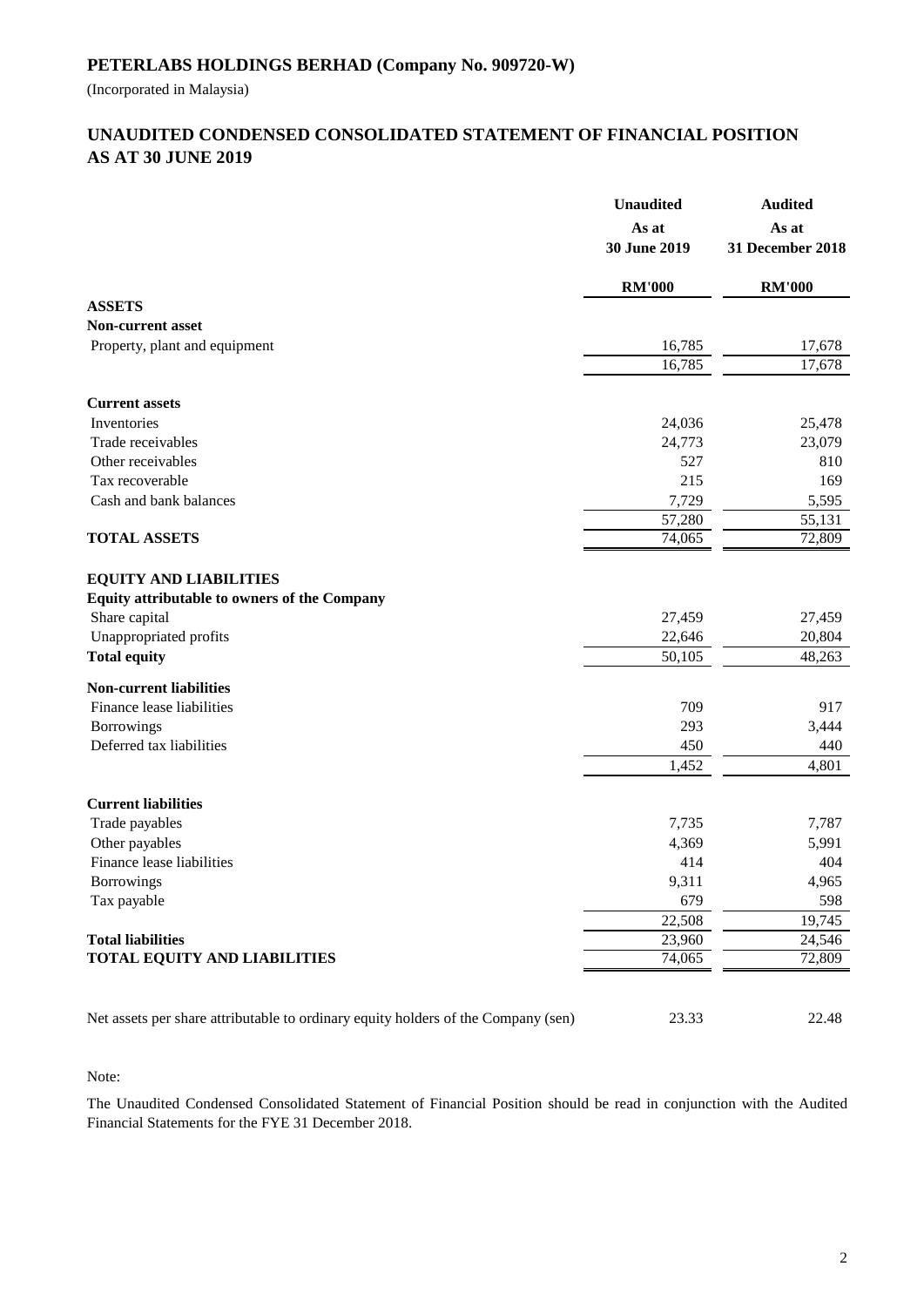(Incorporated in Malaysia)

## **AS AT 30 JUNE 2019 UNAUDITED CONDENSED CONSOLIDATED STATEMENT OF FINANCIAL POSITION**

|                                                                                                                                                 | <b>Unaudited</b><br>As at<br>30 June 2019 | <b>Audited</b><br>As at<br>31 December 2018 |
|-------------------------------------------------------------------------------------------------------------------------------------------------|-------------------------------------------|---------------------------------------------|
|                                                                                                                                                 | <b>RM'000</b>                             | <b>RM'000</b>                               |
| <b>ASSETS</b>                                                                                                                                   |                                           |                                             |
| <b>Non-current asset</b>                                                                                                                        |                                           |                                             |
| Property, plant and equipment                                                                                                                   | 16,785                                    | 17,678                                      |
|                                                                                                                                                 | 16,785                                    | 17,678                                      |
| <b>Current assets</b>                                                                                                                           |                                           |                                             |
| Inventories                                                                                                                                     | 24,036                                    | 25,478                                      |
| Trade receivables                                                                                                                               | 24,773                                    | 23,079                                      |
| Other receivables                                                                                                                               | 527                                       | 810                                         |
| Tax recoverable                                                                                                                                 | 215                                       | 169                                         |
| Cash and bank balances                                                                                                                          | 7,729                                     | 5,595                                       |
|                                                                                                                                                 | $\overline{57,280}$                       | 55,131                                      |
| <b>TOTAL ASSETS</b>                                                                                                                             | 74,065                                    | 72,809                                      |
| <b>EQUITY AND LIABILITIES</b><br>Equity attributable to owners of the Company<br>Share capital<br>Unappropriated profits<br><b>Total equity</b> | 27,459<br>22,646<br>50,105                | 27,459<br>20,804<br>48,263                  |
|                                                                                                                                                 |                                           |                                             |
| <b>Non-current liabilities</b>                                                                                                                  |                                           |                                             |
| Finance lease liabilities                                                                                                                       | 709                                       | 917                                         |
| Borrowings                                                                                                                                      | 293                                       | 3,444                                       |
| Deferred tax liabilities                                                                                                                        | 450                                       | 440                                         |
|                                                                                                                                                 | 1,452                                     | 4,801                                       |
| <b>Current liabilities</b>                                                                                                                      |                                           |                                             |
| Trade payables                                                                                                                                  | 7,735                                     | 7,787                                       |
| Other payables                                                                                                                                  | 4,369                                     | 5,991                                       |
| Finance lease liabilities                                                                                                                       | 414                                       | 404                                         |
| <b>Borrowings</b>                                                                                                                               | 9,311                                     | 4,965                                       |
| Tax payable                                                                                                                                     | 679                                       | 598                                         |
|                                                                                                                                                 | 22,508                                    | 19,745                                      |
| <b>Total liabilities</b>                                                                                                                        | 23,960                                    | 24,546                                      |
| <b>TOTAL EQUITY AND LIABILITIES</b>                                                                                                             | 74,065                                    | 72,809                                      |
| Net assets per share attributable to ordinary equity holders of the Company (sen)                                                               | 23.33                                     | 22.48                                       |

Note:

The Unaudited Condensed Consolidated Statement of Financial Position should be read in conjunction with the Audited Financial Statements for the FYE 31 December 2018.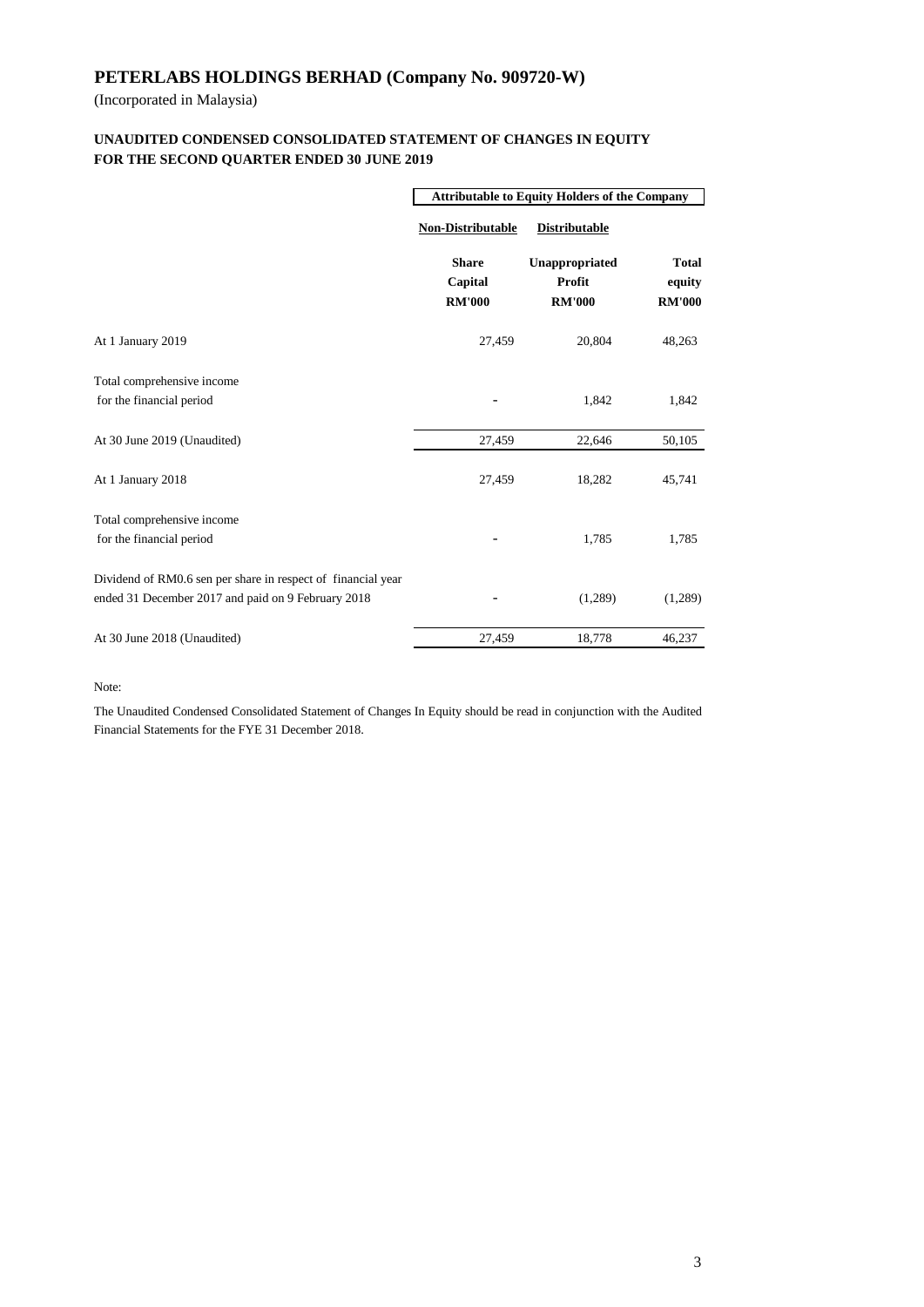(Incorporated in Malaysia)

### **FOR THE SECOND QUARTER ENDED 30 JUNE 2019 UNAUDITED CONDENSED CONSOLIDATED STATEMENT OF CHANGES IN EQUITY**

|                                                                                                                    | <b>Attributable to Equity Holders of the Company</b> |                                           |                                         |  |
|--------------------------------------------------------------------------------------------------------------------|------------------------------------------------------|-------------------------------------------|-----------------------------------------|--|
|                                                                                                                    | <b>Non-Distributable</b>                             | <b>Distributable</b>                      |                                         |  |
|                                                                                                                    | <b>Share</b><br>Capital<br><b>RM'000</b>             | Unappropriated<br>Profit<br><b>RM'000</b> | <b>Total</b><br>equity<br><b>RM'000</b> |  |
| At 1 January 2019                                                                                                  | 27,459                                               | 20,804                                    | 48,263                                  |  |
| Total comprehensive income<br>for the financial period                                                             |                                                      | 1,842                                     | 1,842                                   |  |
| At 30 June 2019 (Unaudited)                                                                                        | 27,459                                               | 22,646                                    | 50,105                                  |  |
| At 1 January 2018                                                                                                  | 27,459                                               | 18,282                                    | 45,741                                  |  |
| Total comprehensive income<br>for the financial period                                                             |                                                      | 1,785                                     | 1,785                                   |  |
| Dividend of RM0.6 sen per share in respect of financial year<br>ended 31 December 2017 and paid on 9 February 2018 |                                                      | (1,289)                                   | (1,289)                                 |  |
| At 30 June 2018 (Unaudited)                                                                                        | 27,459                                               | 18,778                                    | 46,237                                  |  |

Note:

The Unaudited Condensed Consolidated Statement of Changes In Equity should be read in conjunction with the Audited Financial Statements for the FYE 31 December 2018.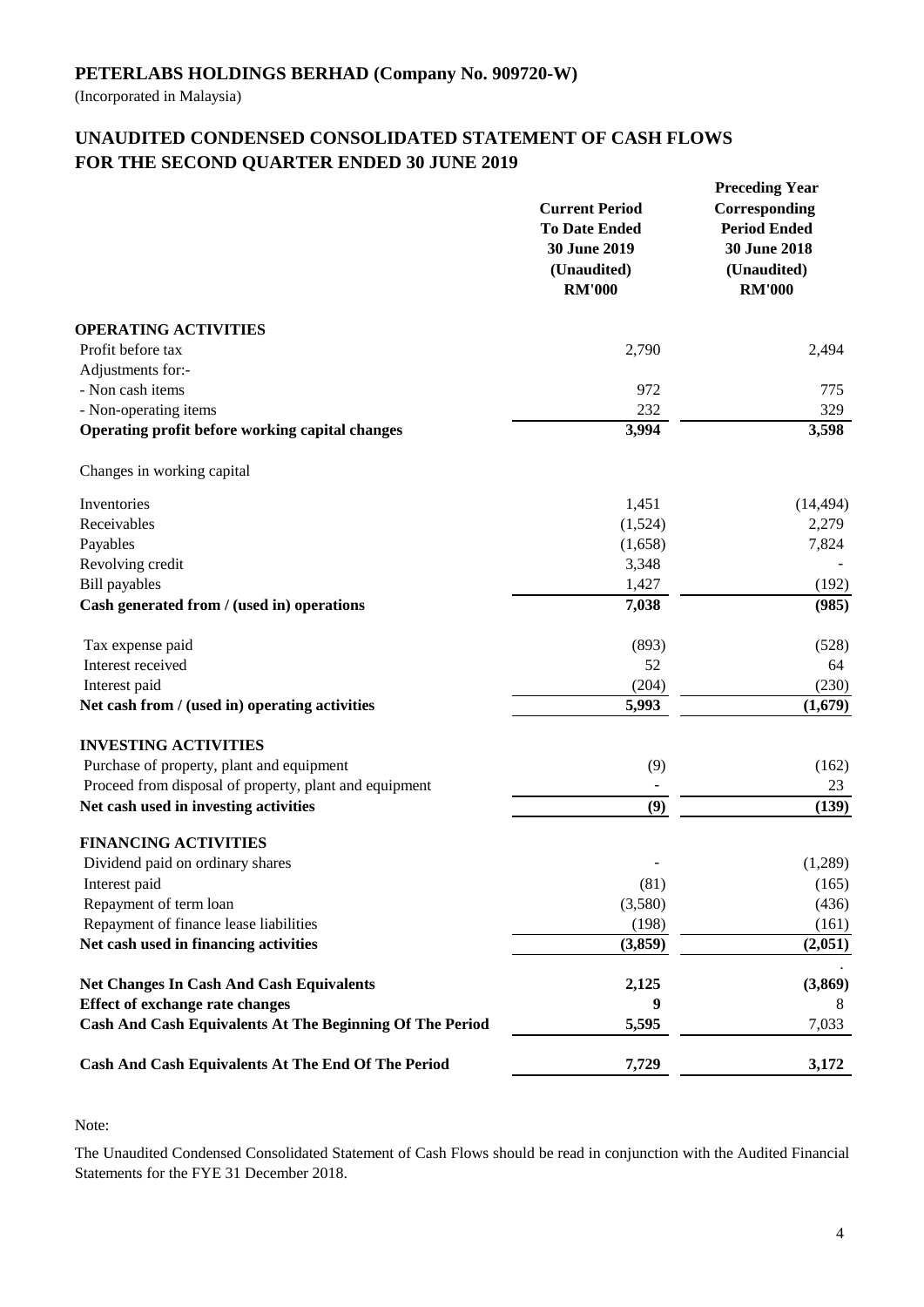(Incorporated in Malaysia)

# **UNAUDITED CONDENSED CONSOLIDATED STATEMENT OF CASH FLOWS FOR THE SECOND QUARTER ENDED 30 JUNE 2019**

|                                                                 | <b>Current Period</b><br><b>To Date Ended</b><br>30 June 2019<br>(Unaudited)<br><b>RM'000</b> | <b>Preceding Year</b><br>Corresponding<br><b>Period Ended</b><br><b>30 June 2018</b><br>(Unaudited)<br><b>RM'000</b> |  |
|-----------------------------------------------------------------|-----------------------------------------------------------------------------------------------|----------------------------------------------------------------------------------------------------------------------|--|
| <b>OPERATING ACTIVITIES</b>                                     |                                                                                               |                                                                                                                      |  |
| Profit before tax                                               | 2,790                                                                                         | 2,494                                                                                                                |  |
| Adjustments for:-                                               |                                                                                               |                                                                                                                      |  |
| - Non cash items                                                | 972                                                                                           | 775                                                                                                                  |  |
| - Non-operating items                                           | 232                                                                                           | 329                                                                                                                  |  |
| Operating profit before working capital changes                 | 3,994                                                                                         | 3,598                                                                                                                |  |
| Changes in working capital                                      |                                                                                               |                                                                                                                      |  |
| Inventories                                                     | 1,451                                                                                         | (14, 494)                                                                                                            |  |
| Receivables                                                     | (1,524)                                                                                       | 2,279                                                                                                                |  |
| Payables                                                        | (1,658)                                                                                       | 7,824                                                                                                                |  |
| Revolving credit                                                | 3,348                                                                                         |                                                                                                                      |  |
| <b>Bill</b> payables                                            | 1,427                                                                                         | (192)                                                                                                                |  |
| Cash generated from / (used in) operations                      | 7,038                                                                                         | (985)                                                                                                                |  |
| Tax expense paid                                                | (893)                                                                                         | (528)                                                                                                                |  |
| Interest received                                               | 52                                                                                            | 64                                                                                                                   |  |
| Interest paid                                                   | (204)                                                                                         | (230)                                                                                                                |  |
| Net cash from / (used in) operating activities                  | 5,993                                                                                         | (1,679)                                                                                                              |  |
| <b>INVESTING ACTIVITIES</b>                                     |                                                                                               |                                                                                                                      |  |
| Purchase of property, plant and equipment                       | (9)                                                                                           | (162)                                                                                                                |  |
| Proceed from disposal of property, plant and equipment          |                                                                                               | 23                                                                                                                   |  |
| Net cash used in investing activities                           | (9)                                                                                           | (139)                                                                                                                |  |
| <b>FINANCING ACTIVITIES</b>                                     |                                                                                               |                                                                                                                      |  |
| Dividend paid on ordinary shares                                |                                                                                               | (1,289)                                                                                                              |  |
| Interest paid                                                   | (81)                                                                                          | (165)                                                                                                                |  |
| Repayment of term loan                                          | (3,580)                                                                                       | (436)                                                                                                                |  |
| Repayment of finance lease liabilities                          | (198)                                                                                         | (161)                                                                                                                |  |
| Net cash used in financing activities                           | (3,859)                                                                                       | (2,051)                                                                                                              |  |
| <b>Net Changes In Cash And Cash Equivalents</b>                 | 2,125                                                                                         | (3,869)                                                                                                              |  |
| <b>Effect of exchange rate changes</b>                          | 9                                                                                             | 8                                                                                                                    |  |
| <b>Cash And Cash Equivalents At The Beginning Of The Period</b> | 5,595                                                                                         | 7,033                                                                                                                |  |
| <b>Cash And Cash Equivalents At The End Of The Period</b>       | 7,729                                                                                         | 3,172                                                                                                                |  |

Note:

The Unaudited Condensed Consolidated Statement of Cash Flows should be read in conjunction with the Audited Financial Statements for the FYE 31 December 2018.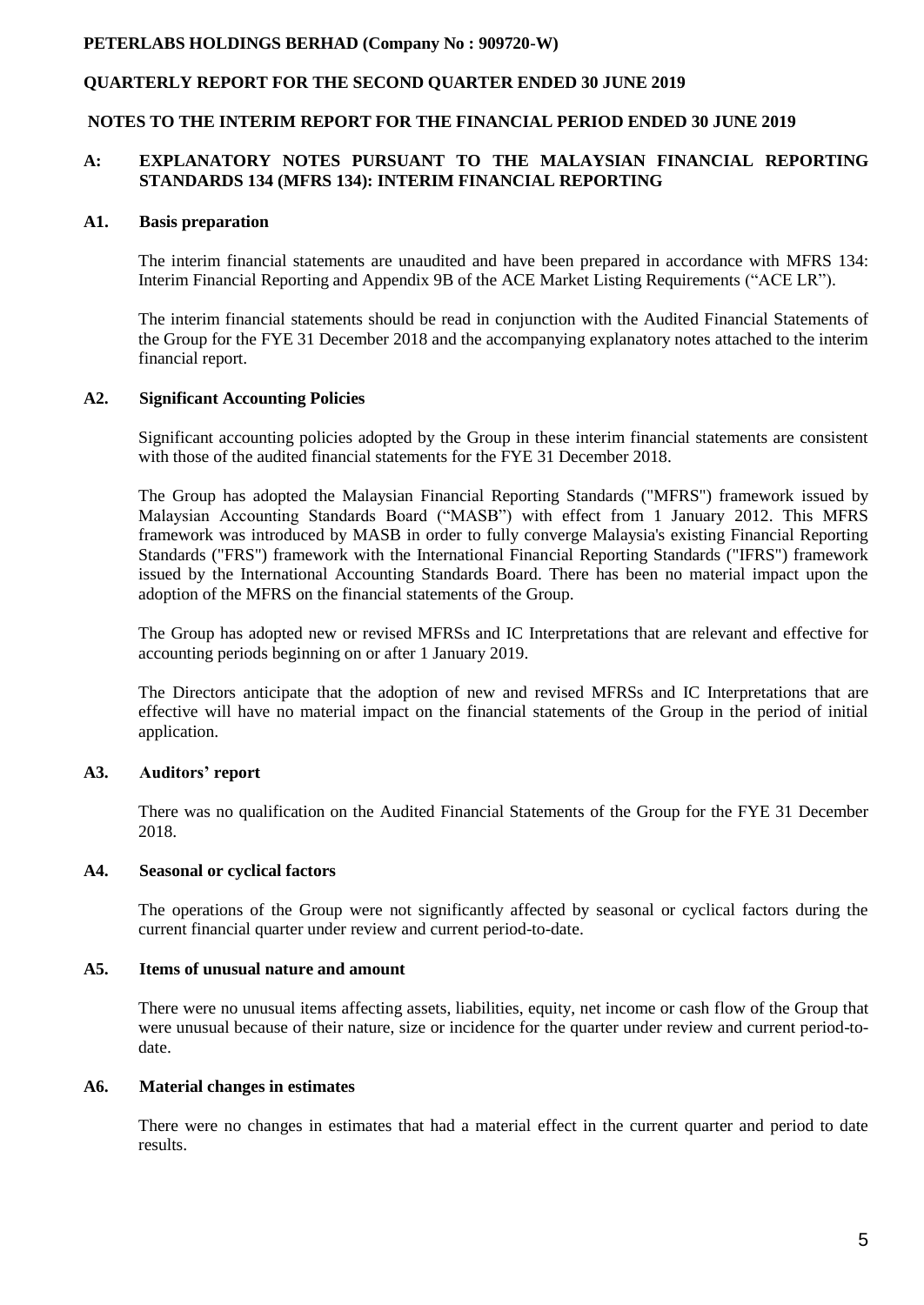## **QUARTERLY REPORT FOR THE SECOND QUARTER ENDED 30 JUNE 2019**

#### **NOTES TO THE INTERIM REPORT FOR THE FINANCIAL PERIOD ENDED 30 JUNE 2019**

#### **A: EXPLANATORY NOTES PURSUANT TO THE MALAYSIAN FINANCIAL REPORTING STANDARDS 134 (MFRS 134): INTERIM FINANCIAL REPORTING**

#### **A1. Basis preparation**

The interim financial statements are unaudited and have been prepared in accordance with MFRS 134: Interim Financial Reporting and Appendix 9B of the ACE Market Listing Requirements ("ACE LR").

The interim financial statements should be read in conjunction with the Audited Financial Statements of the Group for the FYE 31 December 2018 and the accompanying explanatory notes attached to the interim financial report.

#### **A2. Significant Accounting Policies**

Significant accounting policies adopted by the Group in these interim financial statements are consistent with those of the audited financial statements for the FYE 31 December 2018.

The Group has adopted the Malaysian Financial Reporting Standards ("MFRS") framework issued by Malaysian Accounting Standards Board ("MASB") with effect from 1 January 2012. This MFRS framework was introduced by MASB in order to fully converge Malaysia's existing Financial Reporting Standards ("FRS") framework with the International Financial Reporting Standards ("IFRS") framework issued by the International Accounting Standards Board. There has been no material impact upon the adoption of the MFRS on the financial statements of the Group.

The Group has adopted new or revised MFRSs and IC Interpretations that are relevant and effective for accounting periods beginning on or after 1 January 2019.

The Directors anticipate that the adoption of new and revised MFRSs and IC Interpretations that are effective will have no material impact on the financial statements of the Group in the period of initial application.

### **A3. Auditors' report**

There was no qualification on the Audited Financial Statements of the Group for the FYE 31 December 2018.

#### **A4. Seasonal or cyclical factors**

The operations of the Group were not significantly affected by seasonal or cyclical factors during the current financial quarter under review and current period-to-date.

#### **A5. Items of unusual nature and amount**

There were no unusual items affecting assets, liabilities, equity, net income or cash flow of the Group that were unusual because of their nature, size or incidence for the quarter under review and current period-todate.

#### **A6. Material changes in estimates**

There were no changes in estimates that had a material effect in the current quarter and period to date results.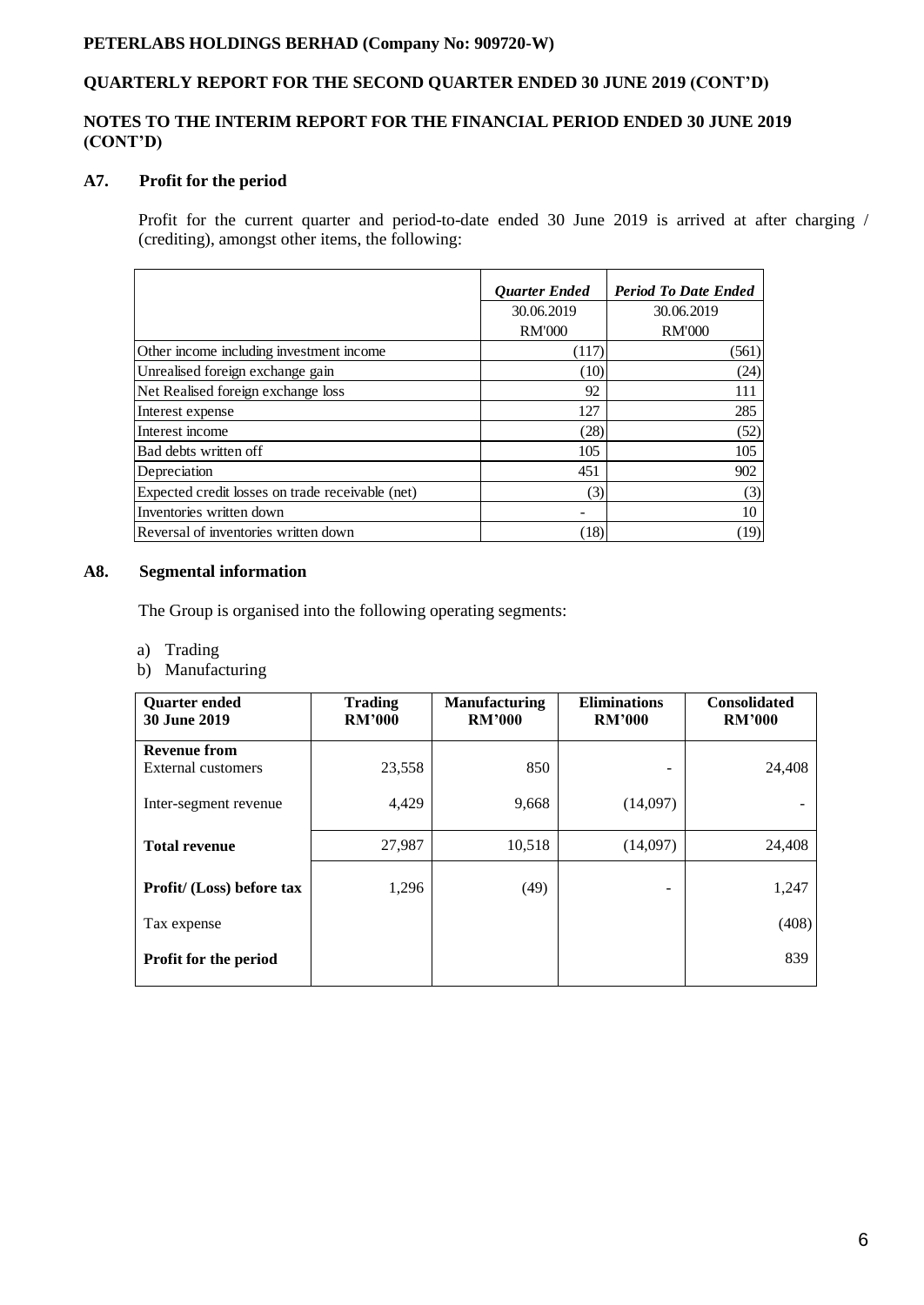## **QUARTERLY REPORT FOR THE SECOND QUARTER ENDED 30 JUNE 2019 (CONT'D)**

## **NOTES TO THE INTERIM REPORT FOR THE FINANCIAL PERIOD ENDED 30 JUNE 2019 (CONT'D)**

## **A7. Profit for the period**

Profit for the current quarter and period-to-date ended 30 June 2019 is arrived at after charging / (crediting), amongst other items, the following:

|                                                  | <b>Ouarter Ended</b> | <b>Period To Date Ended</b> |
|--------------------------------------------------|----------------------|-----------------------------|
|                                                  | 30.06.2019           | 30.06.2019                  |
|                                                  | <b>RM'000</b>        | <b>RM'000</b>               |
| Other income including investment income         | (117)                | (561)                       |
| Unrealised foreign exchange gain                 | (10)                 | (24)                        |
| Net Realised foreign exchange loss               | 92                   | 111                         |
| Interest expense                                 | 127                  | 285                         |
| Interest income                                  | (28)                 | (52)                        |
| Bad debts written off                            | 105                  | 105                         |
| Depreciation                                     | 451                  | 902                         |
| Expected credit losses on trade receivable (net) | (3)                  | (3)                         |
| Inventories written down                         |                      | 10                          |
| Reversal of inventories written down             | (18)                 | (19)                        |

## **A8. Segmental information**

The Group is organised into the following operating segments:

- a) Trading
- b) Manufacturing

| <b>Quarter ended</b><br>30 June 2019 | <b>Trading</b><br><b>RM'000</b> | <b>Manufacturing</b><br><b>RM'000</b> | <b>Eliminations</b><br><b>RM'000</b> | <b>Consolidated</b><br><b>RM'000</b> |
|--------------------------------------|---------------------------------|---------------------------------------|--------------------------------------|--------------------------------------|
| <b>Revenue from</b>                  |                                 |                                       |                                      |                                      |
| External customers                   | 23,558                          | 850                                   | -                                    | 24,408                               |
| Inter-segment revenue                | 4,429                           | 9,668                                 | (14,097)                             |                                      |
| <b>Total revenue</b>                 | 27,987                          | 10,518                                | (14,097)                             | 24,408                               |
| Profit/ (Loss) before tax            | 1,296                           | (49)                                  |                                      | 1,247                                |
| Tax expense                          |                                 |                                       |                                      | (408)                                |
| Profit for the period                |                                 |                                       |                                      | 839                                  |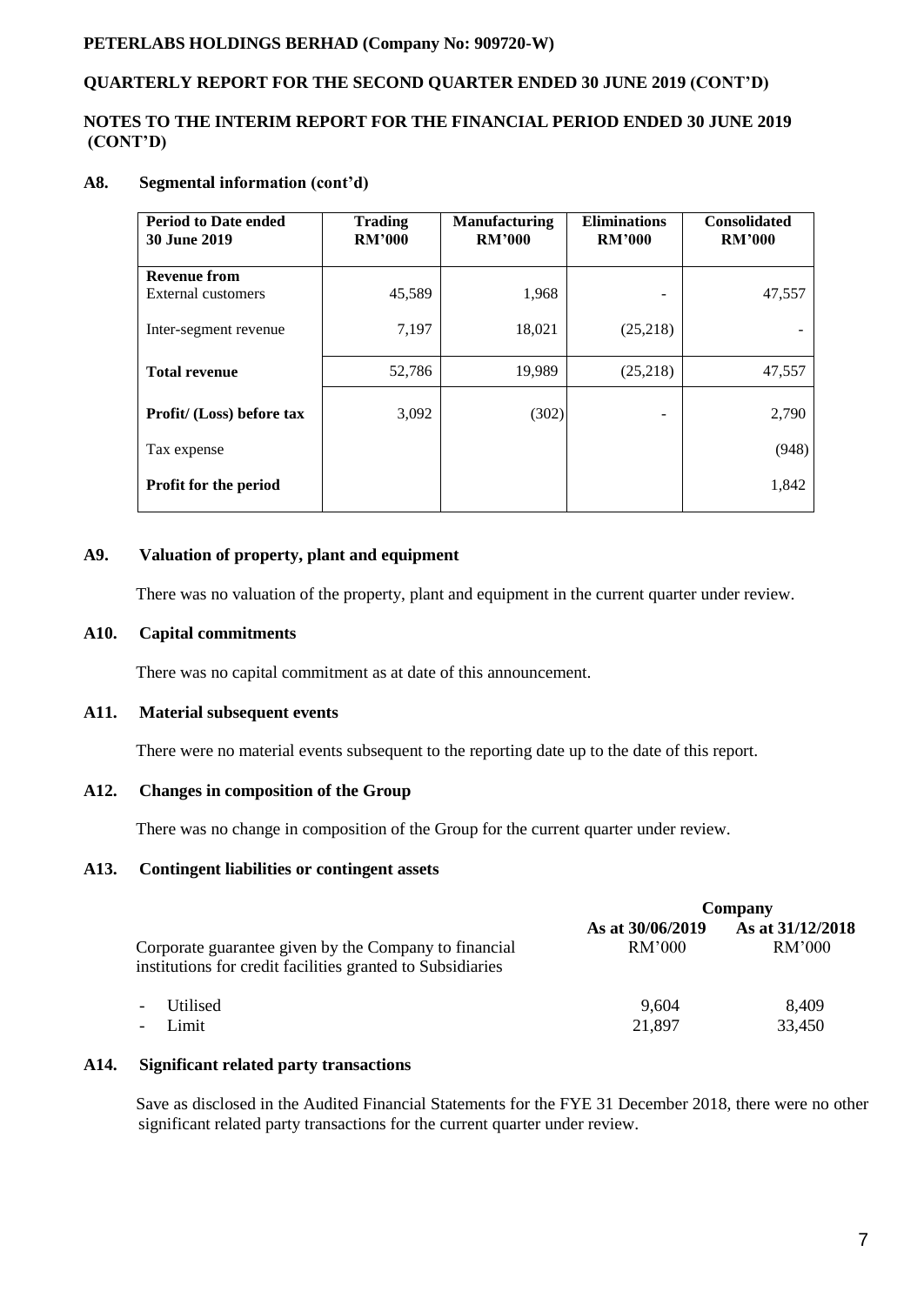## **QUARTERLY REPORT FOR THE SECOND QUARTER ENDED 30 JUNE 2019 (CONT'D)**

## **NOTES TO THE INTERIM REPORT FOR THE FINANCIAL PERIOD ENDED 30 JUNE 2019 (CONT'D)**

## **A8. Segmental information (cont'd)**

| <b>Period to Date ended</b><br><b>30 June 2019</b> | <b>Trading</b><br><b>RM'000</b> | <b>Manufacturing</b><br><b>RM'000</b> | <b>Eliminations</b><br><b>RM'000</b> | <b>Consolidated</b><br><b>RM'000</b> |
|----------------------------------------------------|---------------------------------|---------------------------------------|--------------------------------------|--------------------------------------|
| <b>Revenue from</b>                                |                                 |                                       |                                      |                                      |
| External customers                                 | 45,589                          | 1,968                                 |                                      | 47,557                               |
| Inter-segment revenue                              | 7,197                           | 18,021                                | (25,218)                             |                                      |
| <b>Total revenue</b>                               | 52,786                          | 19,989                                | (25,218)                             | 47,557                               |
| Profit/ (Loss) before tax                          | 3,092                           | (302)                                 |                                      | 2,790                                |
| Tax expense                                        |                                 |                                       |                                      | (948)                                |
| <b>Profit for the period</b>                       |                                 |                                       |                                      | 1,842                                |

## **A9. Valuation of property, plant and equipment**

There was no valuation of the property, plant and equipment in the current quarter under review.

## **A10. Capital commitments**

There was no capital commitment as at date of this announcement.

### **A11. Material subsequent events**

There were no material events subsequent to the reporting date up to the date of this report.

## **A12. Changes in composition of the Group**

There was no change in composition of the Group for the current quarter under review.

### **A13. Contingent liabilities or contingent assets**

|                                                                                                                     |                            | Company                    |
|---------------------------------------------------------------------------------------------------------------------|----------------------------|----------------------------|
| Corporate guarantee given by the Company to financial<br>institutions for credit facilities granted to Subsidiaries | As at 30/06/2019<br>RM'000 | As at 31/12/2018<br>RM'000 |
| <b>Utilised</b><br>$\overline{\phantom{a}}$<br>Limit<br>$\overline{\phantom{a}}$                                    | 9,604<br>21,897            | 8,409<br>33,450            |

### **A14. Significant related party transactions**

 Save as disclosed in the Audited Financial Statements for the FYE 31 December 2018, there were no other significant related party transactions for the current quarter under review.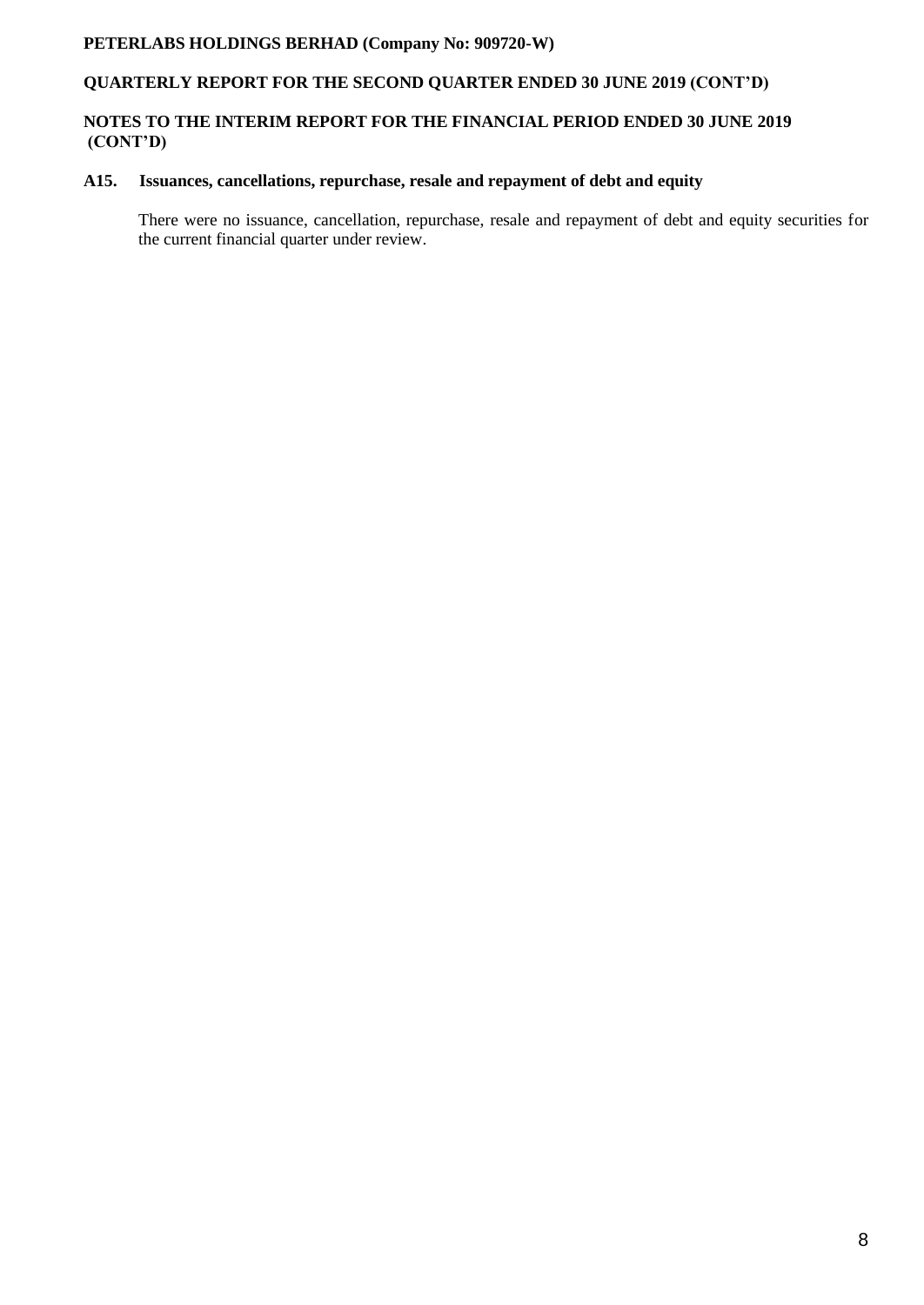## **QUARTERLY REPORT FOR THE SECOND QUARTER ENDED 30 JUNE 2019 (CONT'D)**

## **NOTES TO THE INTERIM REPORT FOR THE FINANCIAL PERIOD ENDED 30 JUNE 2019 (CONT'D)**

## **A15. Issuances, cancellations, repurchase, resale and repayment of debt and equity**

There were no issuance, cancellation, repurchase, resale and repayment of debt and equity securities for the current financial quarter under review.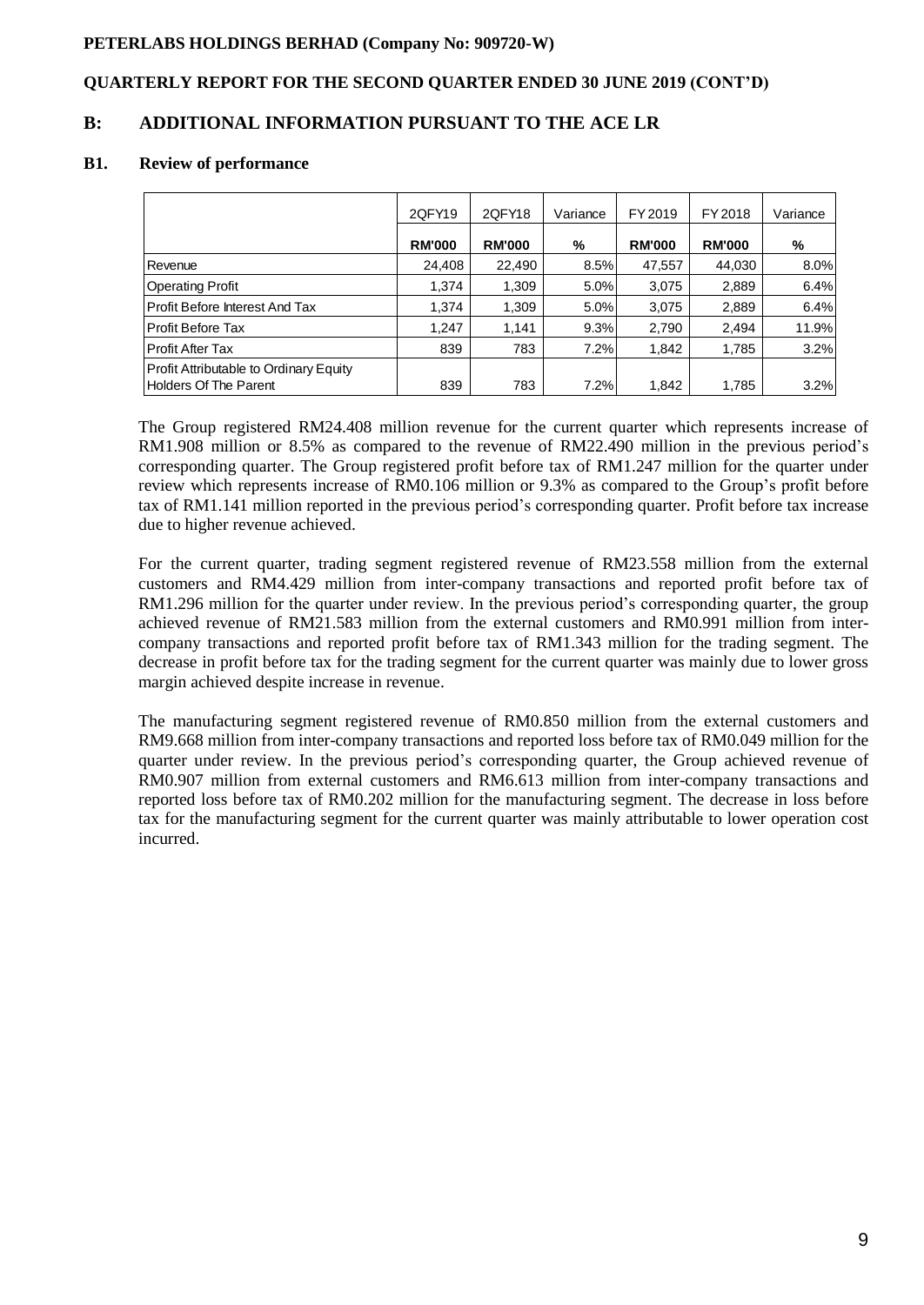## **QUARTERLY REPORT FOR THE SECOND QUARTER ENDED 30 JUNE 2019 (CONT'D)**

## **B: ADDITIONAL INFORMATION PURSUANT TO THE ACE LR**

### **B1. Review of performance**

|                                                                               | 2QFY19        | 2QFY18        | Variance | FY 2019       | FY 2018       | Variance |
|-------------------------------------------------------------------------------|---------------|---------------|----------|---------------|---------------|----------|
|                                                                               | <b>RM'000</b> | <b>RM'000</b> | %        | <b>RM'000</b> | <b>RM'000</b> | %        |
| Revenue                                                                       | 24,408        | 22.490        | 8.5%     | 47,557        | 44,030        | 8.0%     |
| <b>Operating Profit</b>                                                       | 1.374         | 1,309         | 5.0%     | 3,075         | 2,889         | 6.4%     |
| <b>Profit Before Interest And Tax</b>                                         | 1.374         | 1,309         | 5.0%     | 3.075         | 2,889         | 6.4%     |
| <b>Profit Before Tax</b>                                                      | 1,247         | 1,141         | 9.3%     | 2,790         | 2,494         | 11.9%    |
| <b>Profit After Tax</b>                                                       | 839           | 783           | 7.2%     | 1,842         | 1,785         | 3.2%     |
| <b>Profit Attributable to Ordinary Equity</b><br><b>Holders Of The Parent</b> | 839           | 783           | 7.2%     | 1,842         | 1,785         | 3.2%     |

The Group registered RM24.408 million revenue for the current quarter which represents increase of RM1.908 million or 8.5% as compared to the revenue of RM22.490 million in the previous period's corresponding quarter. The Group registered profit before tax of RM1.247 million for the quarter under review which represents increase of RM0.106 million or 9.3% as compared to the Group's profit before tax of RM1.141 million reported in the previous period's corresponding quarter. Profit before tax increase due to higher revenue achieved.

For the current quarter, trading segment registered revenue of RM23.558 million from the external customers and RM4.429 million from inter-company transactions and reported profit before tax of RM1.296 million for the quarter under review. In the previous period's corresponding quarter, the group achieved revenue of RM21.583 million from the external customers and RM0.991 million from intercompany transactions and reported profit before tax of RM1.343 million for the trading segment. The decrease in profit before tax for the trading segment for the current quarter was mainly due to lower gross margin achieved despite increase in revenue.

The manufacturing segment registered revenue of RM0.850 million from the external customers and RM9.668 million from inter-company transactions and reported loss before tax of RM0.049 million for the quarter under review. In the previous period's corresponding quarter, the Group achieved revenue of RM0.907 million from external customers and RM6.613 million from inter-company transactions and reported loss before tax of RM0.202 million for the manufacturing segment. The decrease in loss before tax for the manufacturing segment for the current quarter was mainly attributable to lower operation cost incurred.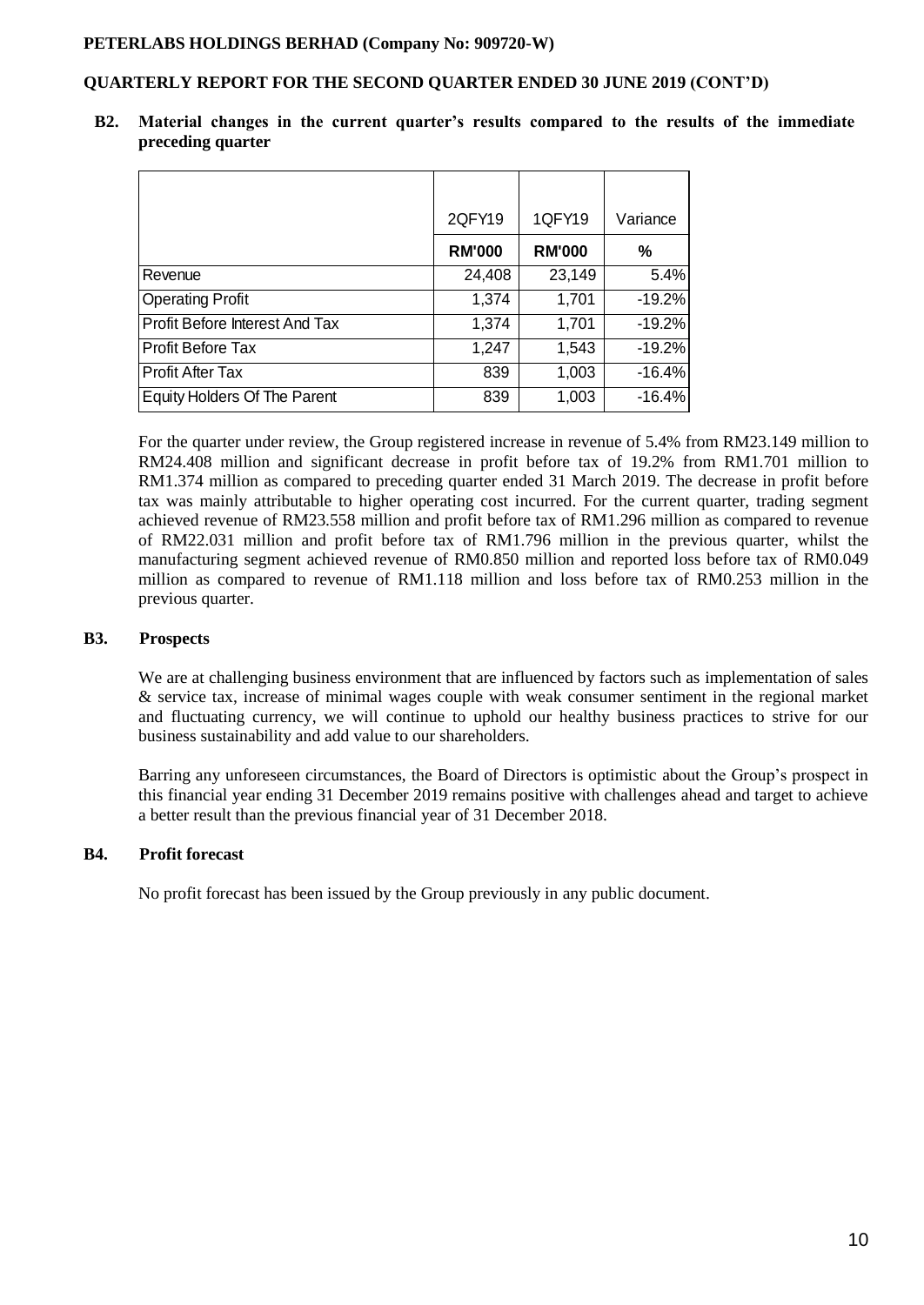## **QUARTERLY REPORT FOR THE SECOND QUARTER ENDED 30 JUNE 2019 (CONT'D)**

|                                     | 2QFY19        | 1QFY19        | Variance |
|-------------------------------------|---------------|---------------|----------|
|                                     | <b>RM'000</b> | <b>RM'000</b> | %        |
| Revenue                             | 24,408        | 23,149        | 5.4%     |
| <b>Operating Profit</b>             | 1,374         | 1,701         | $-19.2%$ |
| Profit Before Interest And Tax      | 1,374         | 1,701         | $-19.2%$ |
| Profit Before Tax                   | 1,247         | 1,543         | $-19.2%$ |
| <b>Profit After Tax</b>             | 839           | 1,003         | $-16.4%$ |
| <b>Equity Holders Of The Parent</b> | 839           | 1,003         | $-16.4%$ |

**B2. Material changes in the current quarter's results compared to the results of the immediate preceding quarter**

For the quarter under review, the Group registered increase in revenue of 5.4% from RM23.149 million to RM24.408 million and significant decrease in profit before tax of 19.2% from RM1.701 million to RM1.374 million as compared to preceding quarter ended 31 March 2019. The decrease in profit before tax was mainly attributable to higher operating cost incurred. For the current quarter, trading segment achieved revenue of RM23.558 million and profit before tax of RM1.296 million as compared to revenue of RM22.031 million and profit before tax of RM1.796 million in the previous quarter, whilst the manufacturing segment achieved revenue of RM0.850 million and reported loss before tax of RM0.049 million as compared to revenue of RM1.118 million and loss before tax of RM0.253 million in the previous quarter.

### **B3. Prospects**

We are at challenging business environment that are influenced by factors such as implementation of sales & service tax, increase of minimal wages couple with weak consumer sentiment in the regional market and fluctuating currency, we will continue to uphold our healthy business practices to strive for our business sustainability and add value to our shareholders.

Barring any unforeseen circumstances, the Board of Directors is optimistic about the Group's prospect in this financial year ending 31 December 2019 remains positive with challenges ahead and target to achieve a better result than the previous financial year of 31 December 2018.

### **B4. Profit forecast**

No profit forecast has been issued by the Group previously in any public document.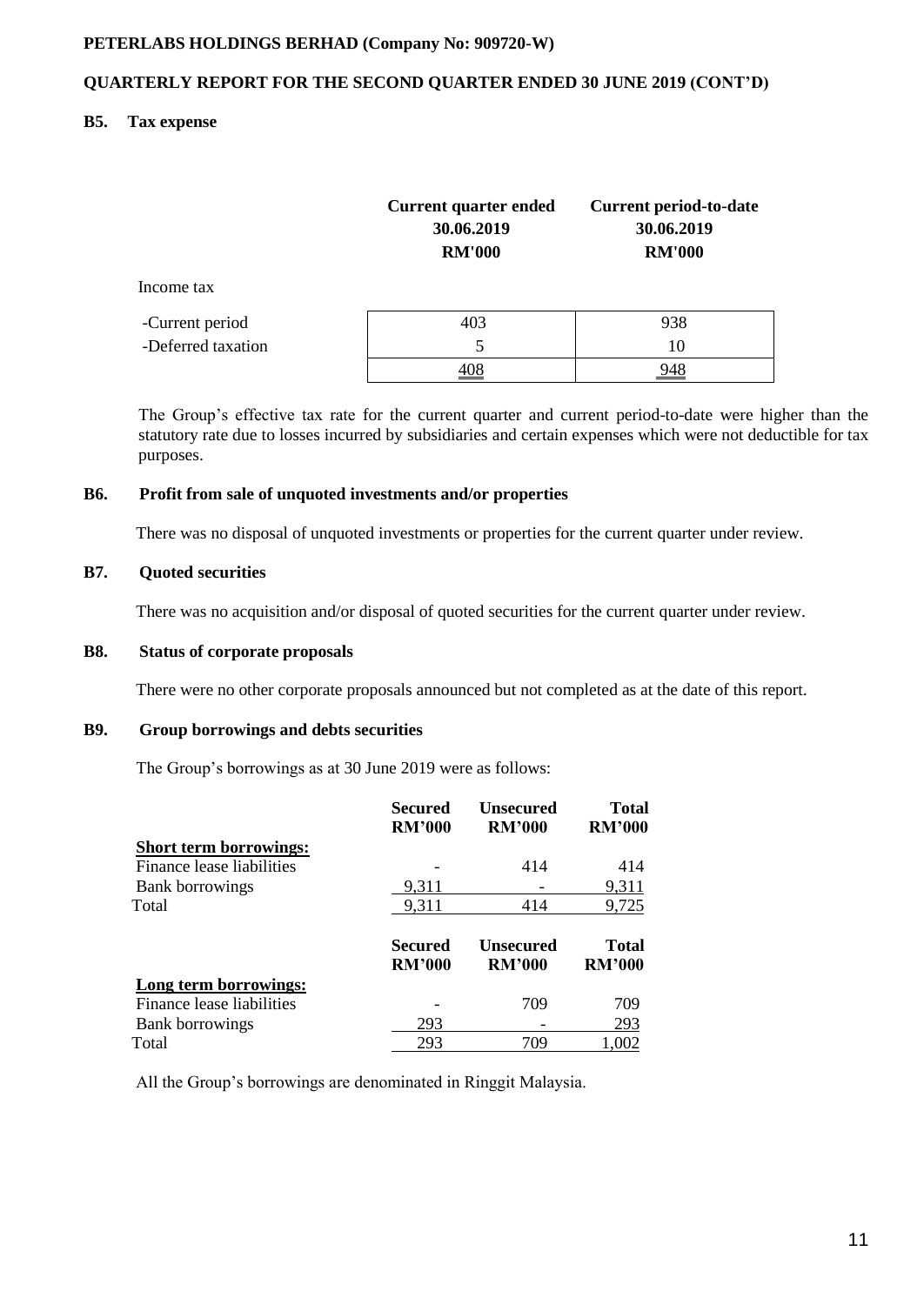## **QUARTERLY REPORT FOR THE SECOND QUARTER ENDED 30 JUNE 2019 (CONT'D)**

## **B5. Tax expense**

|                    | Current quarter ended<br>30.06.2019<br><b>RM'000</b> | <b>Current period-to-date</b><br>30.06.2019<br><b>RM'000</b> |
|--------------------|------------------------------------------------------|--------------------------------------------------------------|
| Income tax         |                                                      |                                                              |
| -Current period    | 403                                                  | 938                                                          |
| -Deferred taxation | 5                                                    | 10                                                           |
|                    |                                                      |                                                              |

The Group's effective tax rate for the current quarter and current period-to-date were higher than the statutory rate due to losses incurred by subsidiaries and certain expenses which were not deductible for tax purposes.

#### **B6. Profit from sale of unquoted investments and/or properties**

There was no disposal of unquoted investments or properties for the current quarter under review.

## **B7. Quoted securities**

There was no acquisition and/or disposal of quoted securities for the current quarter under review.

### **B8. Status of corporate proposals**

There were no other corporate proposals announced but not completed as at the date of this report.

## **B9. Group borrowings and debts securities**

The Group's borrowings as at 30 June 2019 were as follows:

|                               | Secured<br><b>RM'000</b>        | <b>Unsecured</b><br><b>RM'000</b> | <b>Total</b><br><b>RM'000</b> |
|-------------------------------|---------------------------------|-----------------------------------|-------------------------------|
| <b>Short term borrowings:</b> |                                 |                                   |                               |
| Finance lease liabilities     |                                 | 414                               | 414                           |
| <b>Bank borrowings</b>        | 9,311                           |                                   | 9,311                         |
| Total                         | 9,311                           | 414                               | 9,725                         |
|                               | <b>Secured</b><br><b>RM'000</b> | <b>Unsecured</b><br><b>RM'000</b> | <b>Total</b><br><b>RM'000</b> |
| Long term borrowings:         |                                 |                                   |                               |
| Finance lease liabilities     |                                 | 709                               | 709                           |
| <b>Bank borrowings</b>        | 293                             |                                   | 293                           |
| Total                         | 293                             | 709                               | 1,002                         |

All the Group's borrowings are denominated in Ringgit Malaysia.